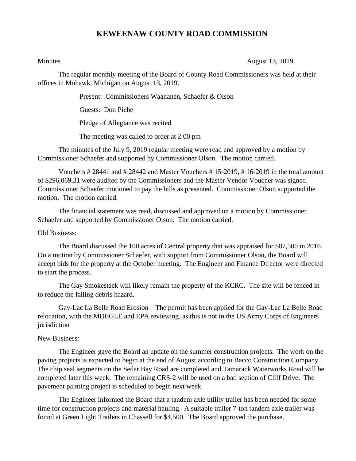## **KEWEENAW COUNTY ROAD COMMISSION**

Minutes August 13, 2019

The regular monthly meeting of the Board of County Road Commissioners was held at their offices in Mohawk, Michigan on August 13, 2019.

Present: Commissioners Waananen, Schaefer & Olson

Guests: Don Piche

Pledge of Allegiance was recited

The meeting was called to order at 2:00 pm

The minutes of the July 9, 2019 regular meeting were read and approved by a motion by Commissioner Schaefer and supported by Commissioner Olson. The motion carried.

Vouchers # 28441 and # 28442 and Master Vouchers # 15-2019, # 16-2019 in the total amount of \$296,069.31 were audited by the Commissioners and the Master Vendor Voucher was signed. Commissioner Schaefer motioned to pay the bills as presented. Commissioner Olson supported the motion. The motion carried.

The financial statement was read, discussed and approved on a motion by Commissioner Schaefer and supported by Commissioner Olson. The motion carried.

## Old Business:

The Board discussed the 100 acres of Central property that was appraised for \$87,500 in 2016. On a motion by Commissioner Schaefer, with support from Commissioner Olson, the Board will accept bids for the property at the October meeting. The Engineer and Finance Director were directed to start the process.

The Gay Smokestack will likely remain the property of the KCRC. The site will be fenced in to reduce the falling debris hazard.

Gay-Lac La Belle Road Erosion – The permit has been applied for the Gay-Lac La Belle Road relocation, with the MDEGLE and EPA reviewing, as this is not in the US Army Corps of Engineers jurisdiction

## New Business:

The Engineer gave the Board an update on the summer construction projects. The work on the paving projects is expected to begin at the end of August according to Bacco Construction Company. The chip seal segments on the Sedar Bay Road are completed and Tamarack Waterworks Road will be completed later this week. The remaining CRS-2 will be used on a bad section of Cliff Drive. The pavement painting project is scheduled to begin next week.

The Engineer informed the Board that a tandem axle utility trailer has been needed for some time for construction projects and material hauling. A suitable trailer 7-ton tandem axle trailer was found at Green Light Trailers in Chassell for \$4,500. The Board approved the purchase.